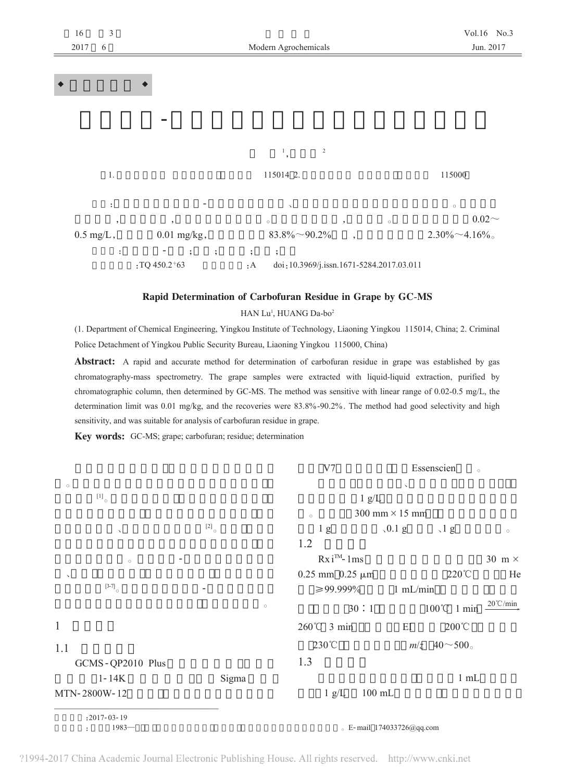

## Rapid Determination of Carbofuran Residue in Grape by GC-MS

HAN Lu<sup>1</sup>, HUANG Da-bo<sup>2</sup>

(1. Department of Chemical Engineering, Yingkou Institute of Technology, Liaoning Yingkou 115014, China; 2. Criminal Police Detachment of Yingkou Public Security Bureau, Liaoning Yingkou 115000, China)

**Abstract:** A rapid and accurate method for determination of carbofuran residue in grape was established by gas chromatography-mass spectrometry. The grape samples were extracted with liquid-liquid extraction, purified by chromatographic column, then determined by GC-MS. The method was sensitive with linear range of 0.02-0.5 mg/L, the determination limit was 0.01 mg/kg, and the recoveries were 83.8%-90.2%. The method had good selectivity and high sensitivity, and was suitable for analysis of carbofuran residue in grape.

Key words: GC-MS; grape; carbofuran; residue; determination

|                                                                |                            | V7                                 |          | Essenscien      | $\circ$            |
|----------------------------------------------------------------|----------------------------|------------------------------------|----------|-----------------|--------------------|
| $\circ$                                                        |                            |                                    |          |                 |                    |
| $\left[\begin{smallmatrix} 1 \end{smallmatrix}\right]_{\circ}$ | 1 g/L                      |                                    |          |                 |                    |
|                                                                |                            | 300 mm $\times$ 15 mm<br>$\circ$   |          |                 |                    |
| $\checkmark$                                                   | $\left[ 2\right] _{\circ}$ | 1 <sub>g</sub>                     | $0.1$ g  | $\sqrt{1}$ g    | $\circ$            |
|                                                                |                            | 1.2                                |          |                 |                    |
| $\circ$                                                        |                            | $Rx iTM - 1ms$                     |          |                 | 30 m $\times$      |
| $\checkmark$                                                   |                            | $0.25$ mm $0.25$ $\mu$ m           |          | $220^{\circ}$ C | He                 |
| $\left[3-7\right]_{_\odot}$                                    |                            | $≥99.999\%$                        | 1 mL/min |                 |                    |
|                                                                | $\circ$                    | 30:1                               |          | 100℃ 1 min      | $20^{\circ}$ C/min |
| $\mathbf{1}$                                                   |                            | 260℃ 3 min                         | EI       | $200^{\circ}$ C |                    |
| 1.1                                                            |                            | 230°C                              |          | $m/z$ 40~500.   |                    |
| GCMS-QP2010 Plus                                               |                            | 1.3                                |          |                 |                    |
| $1 - 14K$                                                      | Sigma                      |                                    |          | 1 mL            |                    |
| MTN-2800W-12                                                   |                            | $100$ mL<br>1 g/L                  |          |                 |                    |
| $: 2017 - 03 - 19$                                             |                            |                                    |          |                 |                    |
| $1983 -$                                                       |                            | $\epsilon$ E-mail 174033726@qq.com |          |                 |                    |

?1994-2017 China Academic Journal Electronic Publishing House. All rights reserved. http://www.cnki.net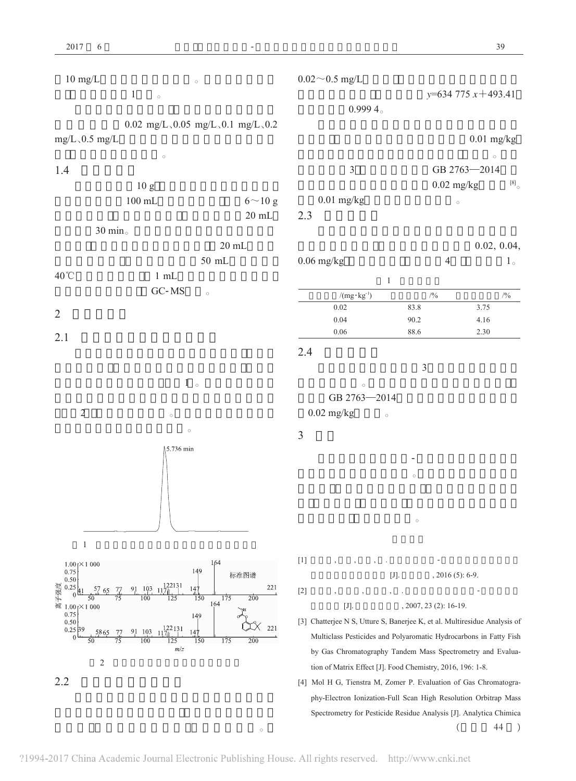$\overline{2}$ 





 $^{[8]}$ 

 $1\, \circ$ 

 $\circ$